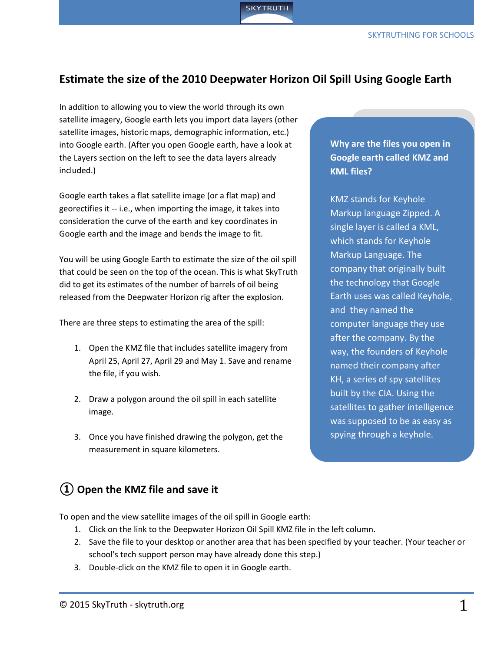## **Estimate the size of the 2010 Deepwater Horizon Oil Spill Using Google Earth**

**SKYTRUTH** 

In addition to allowing you to view the world through its own satellite imagery, Google earth lets you import data layers (other satellite images, historic maps, demographic information, etc.) into Google earth. (After you open Google earth, have a look at the Layers section on the left to see the data layers already included.)

Google earth takes a flat satellite image (or a flat map) and georectifies it -- i.e., when importing the image, it takes into consideration the curve of the earth and key coordinates in Google earth and the image and bends the image to fit.

You will be using Google Earth to estimate the size of the oil spill that could be seen on the top of the ocean. This is what SkyTruth did to get its estimates of the number of barrels of oil being released from the Deepwater Horizon rig after the explosion.

There are three steps to estimating the area of the spill:

- 1. Open the KMZ file that includes satellite imagery from April 25, April 27, April 29 and May 1. Save and rename the file, if you wish.
- 2. Draw a polygon around the oil spill in each satellite image.
- 3. Once you have finished drawing the polygon, get the measurement in square kilometers.

### **Why are the files you open in Google earth called KMZ and KML files?**

KMZ stands for Keyhole Markup language Zipped. A single layer is called a KML, which stands for Keyhole Markup Language. The company that originally built the technology that Google Earth uses was called Keyhole, and they named the computer language they use after the company. By the way, the founders of Keyhole named their company after KH, a series of spy satellites built by the CIA. Using the satellites to gather intelligence was supposed to be as easy as spying through a keyhole.

# **① Open the KMZ file and save it**

To open and the view satellite images of the oil spill in Google earth:

- 1. Click on the link to the Deepwater Horizon Oil Spill KMZ file in the left column.
- 2. Save the file to your desktop or another area that has been specified by your teacher. (Your teacher or school's tech support person may have already done this step.)
- 3. Double-click on the KMZ file to open it in Google earth.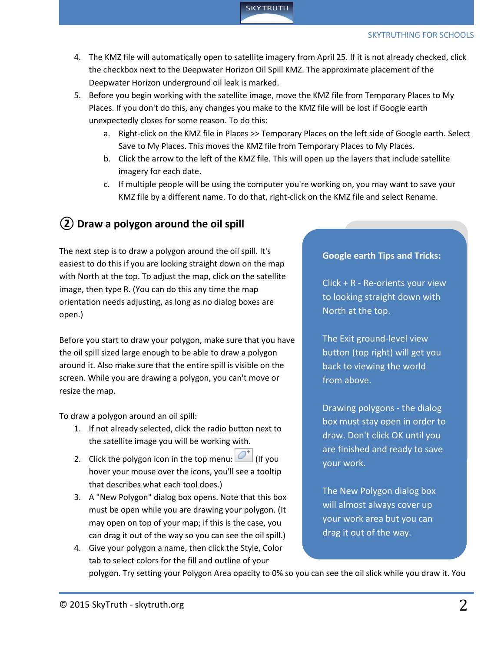

- 4. The KMZ file will automatically open to satellite imagery from April 25. If it is not already checked, click the checkbox next to the Deepwater Horizon Oil Spill KMZ. The approximate placement of the Deepwater Horizon underground oil leak is marked.
- 5. Before you begin working with the satellite image, move the KMZ file from Temporary Places to My Places. If you don't do this, any changes you make to the KMZ file will be lost if Google earth unexpectedly closes for some reason. To do this:
	- a. Right-click on the KMZ file in Places >> Temporary Places on the left side of Google earth. Select Save to My Places. This moves the KMZ file from Temporary Places to My Places.
	- b. Click the arrow to the left of the KMZ file. This will open up the layers that include satellite imagery for each date.
	- c. If multiple people will be using the computer you're working on, you may want to save your KMZ file by a different name. To do that, right-click on the KMZ file and select Rename.

# **② Draw a polygon around the oil spill**

The next step is to draw a polygon around the oil spill. It's easiest to do this if you are looking straight down on the map with North at the top. To adjust the map, click on the satellite image, then type R. (You can do this any time the map orientation needs adjusting, as long as no dialog boxes are open.)

Before you start to draw your polygon, make sure that you have the oil spill sized large enough to be able to draw a polygon around it. Also make sure that the entire spill is visible on the screen. While you are drawing a polygon, you can't move or resize the map.

To draw a polygon around an oil spill:

- 1. If not already selected, click the radio button next to the satellite image you will be working with.
- 2. Click the polygon icon in the top menu:  $[2]$  (If you hover your mouse over the icons, you'll see a tooltip that describes what each tool does.)
- 3. A "New Polygon" dialog box opens. Note that this box must be open while you are drawing your polygon. (It may open on top of your map; if this is the case, you can drag it out of the way so you can see the oil spill.)
- 4. Give your polygon a name, then click the Style, Color tab to select colors for the fill and outline of your

#### **Google earth Tips and Tricks:**

Click + R - Re-orients your view to looking straight down with North at the top.

The Exit ground-level view button (top right) will get you back to viewing the world from above.

Drawing polygons - the dialog box must stay open in order to draw. Don't click OK until you are finished and ready to save your work.

The New Polygon dialog box will almost always cover up your work area but you can drag it out of the way.

polygon. Try setting your Polygon Area opacity to 0% so you can see the oil slick while you draw it. You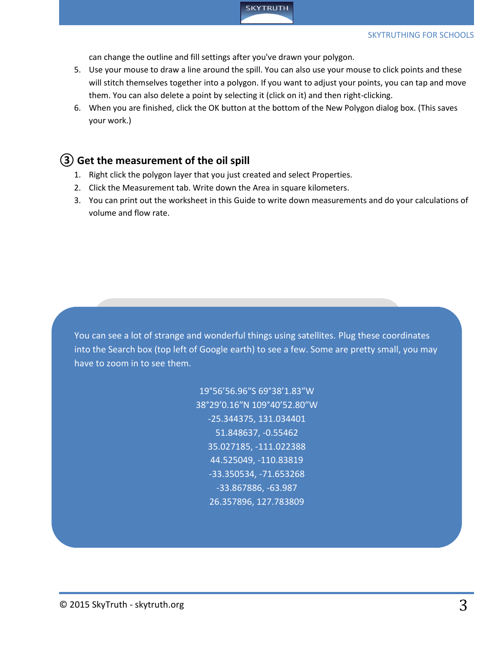

can change the outline and fill settings after you've drawn your polygon.

- 5. Use your mouse to draw a line around the spill. You can also use your mouse to click points and these will stitch themselves together into a polygon. If you want to adjust your points, you can tap and move them. You can also delete a point by selecting it (click on it) and then right-clicking.
- 6. When you are finished, click the OK button at the bottom of the New Polygon dialog box. (This saves your work.)

#### **③ Get the measurement of the oil spill**

- 1. Right click the polygon layer that you just created and select Properties.
- 2. Click the Measurement tab. Write down the Area in square kilometers.
- 3. You can print out the worksheet in this Guide to write down measurements and do your calculations of volume and flow rate.

You can see a lot of strange and wonderful things using satellites. Plug these coordinates into the Search box (top left of Google earth) to see a few. Some are pretty small, you may have to zoom in to see them.

> 19°56'56.96″S 69°38'1.83″W 38°29'0.16″N 109°40'52.80″W -25.344375, 131.034401 51.848637, -0.55462 35.027185, -111.022388 44.525049, -110.83819 -33.350534, -71.653268 -33.867886, -63.987 26.357896, 127.783809